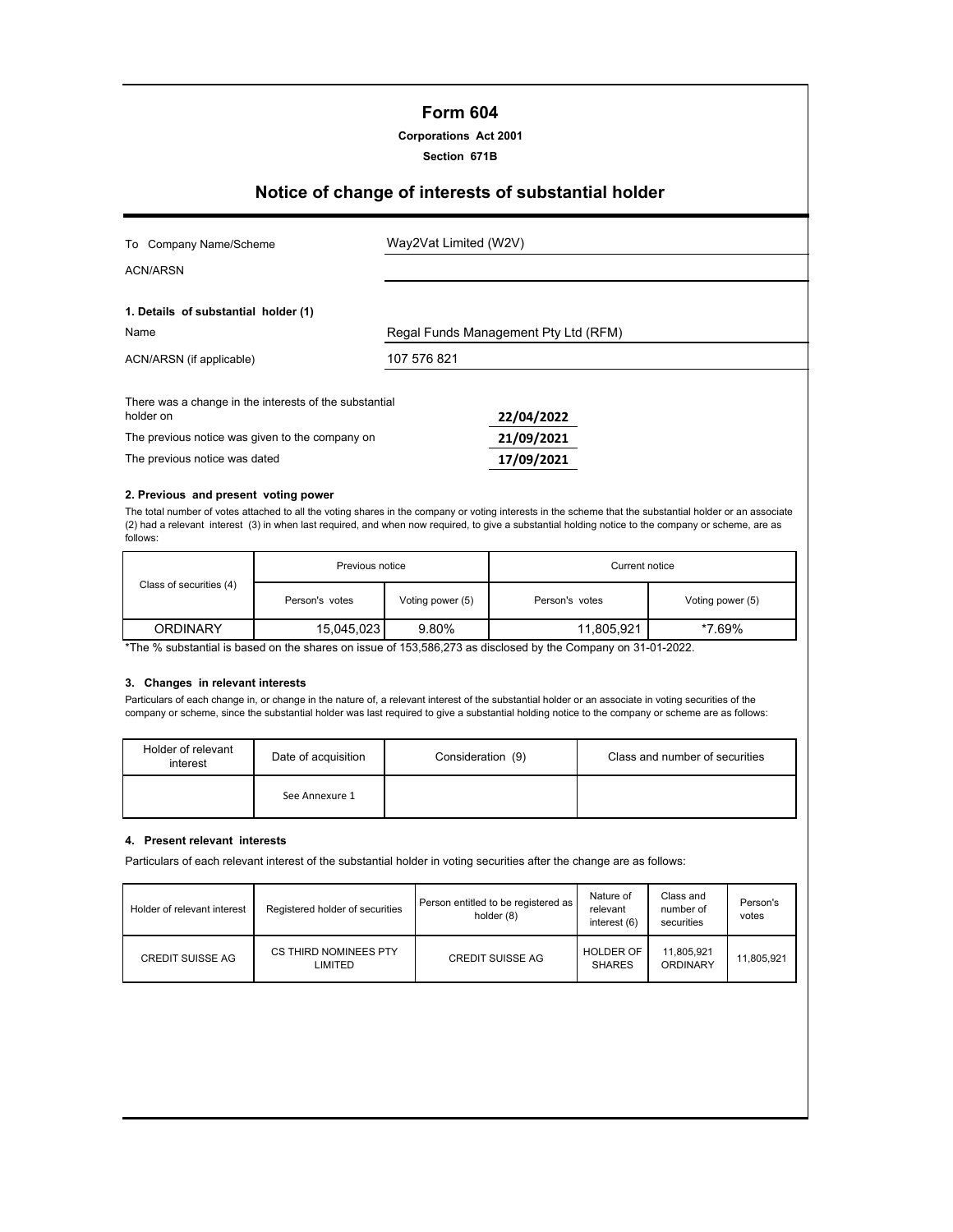## **Form 604**

**Corporations Act 2001**

**Section 671B**

# **Notice of change of interests of substantial holder**

| To Company Name/Scheme                                              | Way2Vat Limited (W2V)                |
|---------------------------------------------------------------------|--------------------------------------|
| <b>ACN/ARSN</b>                                                     |                                      |
| 1. Details of substantial holder (1)                                |                                      |
| Name                                                                | Regal Funds Management Pty Ltd (RFM) |
| ACN/ARSN (if applicable)                                            | 107 576 821                          |
| There was a change in the interests of the substantial<br>holder on | 22/04/2022                           |
| The previous notice was given to the company on                     | 21/09/2021                           |
| The previous notice was dated                                       | 17/09/2021                           |

#### **2. Previous and present voting power**

The total number of votes attached to all the voting shares in the company or voting interests in the scheme that the substantial holder or an associate (2) had a relevant interest (3) in when last required, and when now required, to give a substantial holding notice to the company or scheme, are as follows:

|                         | Previous notice |                  | Current notice |                  |  |
|-------------------------|-----------------|------------------|----------------|------------------|--|
| Class of securities (4) | Person's votes  | Voting power (5) | Person's votes | Voting power (5) |  |
| <b>ORDINARY</b>         | 15,045,023      | 9.80%            | 11,805,921     | *7.69%           |  |

\*The % substantial is based on the shares on issue of 153,586,273 as disclosed by the Company on 31-01-2022.

## **3. Changes in relevant interests**

Particulars of each change in, or change in the nature of, a relevant interest of the substantial holder or an associate in voting securities of the company or scheme, since the substantial holder was last required to give a substantial holding notice to the company or scheme are as follows:

| Holder of relevant<br>interest | Date of acquisition | Consideration (9) | Class and number of securities |
|--------------------------------|---------------------|-------------------|--------------------------------|
|                                | See Annexure 1      |                   |                                |

#### **4. Present relevant interests**

Particulars of each relevant interest of the substantial holder in voting securities after the change are as follows:

| Holder of relevant interest | Registered holder of securities  | Person entitled to be registered as<br>holder (8) | Nature of<br>relevant<br>interest (6) | Class and<br>number of<br>securities | Person's<br>votes |
|-----------------------------|----------------------------------|---------------------------------------------------|---------------------------------------|--------------------------------------|-------------------|
| CREDIT SUISSE AG            | CS THIRD NOMINEES PTY<br>LIMITED | <b>CREDIT SUISSE AG</b>                           | <b>HOLDER OF</b><br><b>SHARES</b>     | 11,805,921<br>ORDINARY               | 11.805.921        |